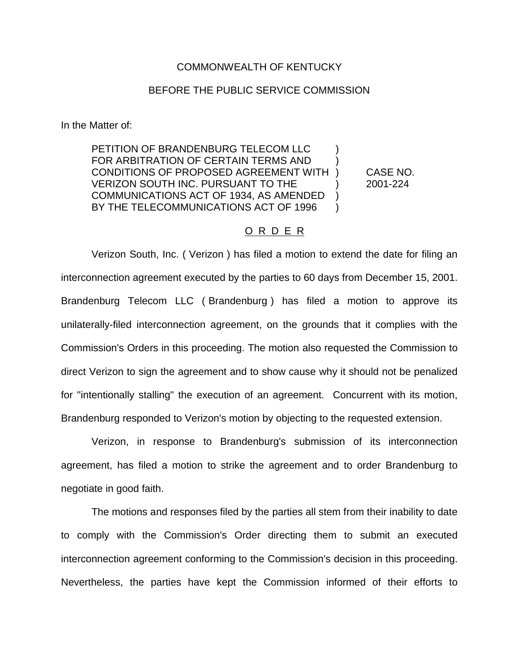## COMMONWEALTH OF KENTUCKY

## BEFORE THE PUBLIC SERVICE COMMISSION

In the Matter of:

PETITION OF BRANDENBURG TELECOM LLC  $\qquad \qquad$  ) FOR ARBITRATION OF CERTAIN TERMS AND ) CONDITIONS OF PROPOSED AGREEMENT WITH ) CASE NO. VERIZON SOUTH INC. PURSUANT TO THE ) 2001-224 COMMUNICATIONS ACT OF 1934, AS AMENDED ) BY THE TELECOMMUNICATIONS ACT OF 1996

## O R D E R

Verizon South, Inc. ( Verizon ) has filed a motion to extend the date for filing an interconnection agreement executed by the parties to 60 days from December 15, 2001. Brandenburg Telecom LLC ( Brandenburg ) has filed a motion to approve its unilaterally-filed interconnection agreement, on the grounds that it complies with the Commission's Orders in this proceeding. The motion also requested the Commission to direct Verizon to sign the agreement and to show cause why it should not be penalized for "intentionally stalling" the execution of an agreement. Concurrent with its motion, Brandenburg responded to Verizon's motion by objecting to the requested extension.

Verizon, in response to Brandenburg's submission of its interconnection agreement, has filed a motion to strike the agreement and to order Brandenburg to negotiate in good faith.

The motions and responses filed by the parties all stem from their inability to date to comply with the Commission's Order directing them to submit an executed interconnection agreement conforming to the Commission's decision in this proceeding. Nevertheless, the parties have kept the Commission informed of their efforts to